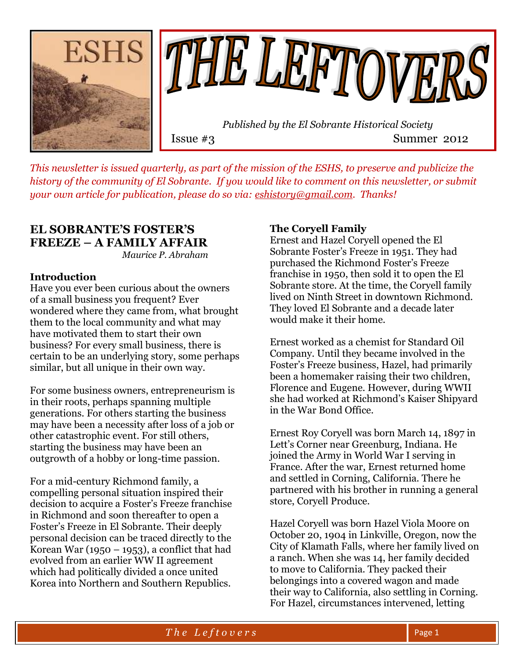



 *Published by the El Sobrante Historical Society*  Issue #3 Summer 2012

*This newsletter is issued quarterly, as part of the mission of the ESHS, to preserve and publicize the history of the community of El Sobrante. If you would like to comment on this newsletter, or submit your own article for publication, please do so via: [eshistory@gmail.com.](mailto:eshistory@gmail.com) Thanks!*

### **EL SOBRANTE'S FOSTER'S FREEZE – A FAMILY AFFAIR**

*Maurice P. Abraham*

#### **Introduction**

Have you ever been curious about the owners of a small business you frequent? Ever wondered where they came from, what brought them to the local community and what may have motivated them to start their own business? For every small business, there is certain to be an underlying story, some perhaps similar, but all unique in their own way.

For some business owners, entrepreneurism is in their roots, perhaps spanning multiple generations. For others starting the business may have been a necessity after loss of a job or other catastrophic event. For still others, starting the business may have been an outgrowth of a hobby or long-time passion.

For a mid-century Richmond family, a compelling personal situation inspired their decision to acquire a Foster's Freeze franchise in Richmond and soon thereafter to open a Foster's Freeze in El Sobrante. Their deeply personal decision can be traced directly to the Korean War (1950 – 1953), a conflict that had evolved from an earlier WW II agreement which had politically divided a once united Korea into Northern and Southern Republics.

#### **The Coryell Family**

Ernest and Hazel Coryell opened the El Sobrante Foster's Freeze in 1951. They had purchased the Richmond Foster's Freeze franchise in 1950, then sold it to open the El Sobrante store. At the time, the Coryell family lived on Ninth Street in downtown Richmond. They loved El Sobrante and a decade later would make it their home.

Ernest worked as a chemist for Standard Oil Company. Until they became involved in the Foster's Freeze business, Hazel, had primarily been a homemaker raising their two children, Florence and Eugene. However, during WWII she had worked at Richmond's Kaiser Shipyard in the War Bond Office.

Ernest Roy Coryell was born March 14, 1897 in Lett's Corner near Greenburg, Indiana. He joined the Army in World War I serving in France. After the war, Ernest returned home and settled in Corning, California. There he partnered with his brother in running a general store, Coryell Produce.

Hazel Coryell was born Hazel Viola Moore on October 20, 1904 in Linkville, Oregon, now the City of Klamath Falls, where her family lived on a ranch. When she was 14, her family decided to move to California. They packed their belongings into a covered wagon and made their way to California, also settling in Corning. For Hazel, circumstances intervened, letting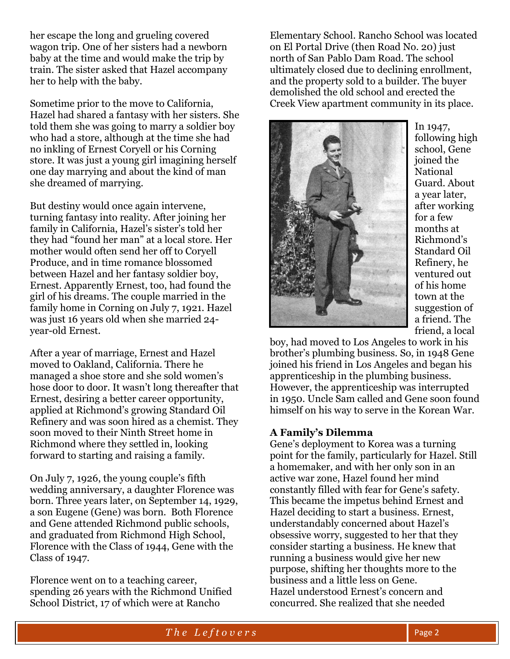her escape the long and grueling covered wagon trip. One of her sisters had a newborn baby at the time and would make the trip by train. The sister asked that Hazel accompany her to help with the baby.

Sometime prior to the move to California, Hazel had shared a fantasy with her sisters. She told them she was going to marry a soldier boy who had a store, although at the time she had no inkling of Ernest Coryell or his Corning store. It was just a young girl imagining herself one day marrying and about the kind of man she dreamed of marrying.

But destiny would once again intervene, turning fantasy into reality. After joining her family in California, Hazel's sister's told her they had "found her man" at a local store. Her mother would often send her off to Coryell Produce, and in time romance blossomed between Hazel and her fantasy soldier boy, Ernest. Apparently Ernest, too, had found the girl of his dreams. The couple married in the family home in Corning on July 7, 1921. Hazel was just 16 years old when she married 24 year-old Ernest.

After a year of marriage, Ernest and Hazel moved to Oakland, California. There he managed a shoe store and she sold women's hose door to door. It wasn't long thereafter that Ernest, desiring a better career opportunity, applied at Richmond's growing Standard Oil Refinery and was soon hired as a chemist. They soon moved to their Ninth Street home in Richmond where they settled in, looking forward to starting and raising a family.

On July 7, 1926, the young couple's fifth wedding anniversary, a daughter Florence was born. Three years later, on September 14, 1929, a son Eugene (Gene) was born. Both Florence and Gene attended Richmond public schools, and graduated from Richmond High School, Florence with the Class of 1944, Gene with the Class of 1947.

Florence went on to a teaching career, spending 26 years with the Richmond Unified School District, 17 of which were at Rancho

Elementary School. Rancho School was located on El Portal Drive (then Road No. 20) just north of San Pablo Dam Road. The school ultimately closed due to declining enrollment, and the property sold to a builder. The buyer demolished the old school and erected the Creek View apartment community in its place.



In 1947, following high school, Gene joined the National Guard. About a year later, after working for a few months at Richmond's Standard Oil Refinery, he ventured out of his home town at the suggestion of a friend. The friend, a local

boy, had moved to Los Angeles to work in his brother's plumbing business. So, in 1948 Gene joined his friend in Los Angeles and began his apprenticeship in the plumbing business. However, the apprenticeship was interrupted in 1950. Uncle Sam called and Gene soon found himself on his way to serve in the Korean War.

#### **A Family's Dilemma**

Gene's deployment to Korea was a turning point for the family, particularly for Hazel. Still a homemaker, and with her only son in an active war zone, Hazel found her mind constantly filled with fear for Gene's safety. This became the impetus behind Ernest and Hazel deciding to start a business. Ernest, understandably concerned about Hazel's obsessive worry, suggested to her that they consider starting a business. He knew that running a business would give her new purpose, shifting her thoughts more to the business and a little less on Gene. Hazel understood Ernest's concern and concurred. She realized that she needed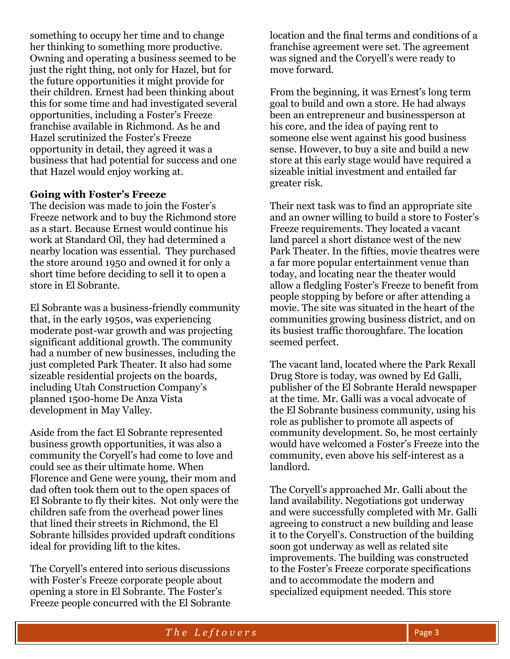something to occupy her time and to change her thinking to something more productive. Owning and operating a business seemed to be just the right thing, not only for Hazel, but for the future opportunities it might provide for their children. Ernest had been thinking about this for some time and had investigated several opportunities, including a Foster's Freeze franchise available in Richmond. As he and Hazel scrutinized the Foster's Freeze opportunity in detail, they agreed it was a business that had potential for success and one that Hazel would enjoy working at.

#### **Going with Foster's Freeze**

The decision was made to join the Foster's Freeze network and to buy the Richmond store as a start. Because Ernest would continue his work at Standard Oil, they had determined a nearby location was essential. They purchased the store around 1950 and owned it for only a short time before deciding to sell it to open a store in El Sobrante.

El Sobrante was a business-friendly community that, in the early 1950s, was experiencing moderate post-war growth and was projecting significant additional growth. The community had a number of new businesses, including the just completed Park Theater. It also had some sizeable residential projects on the boards, including Utah Construction Company's planned 1500-home De Anza Vista development in May Valley.

Aside from the fact El Sobrante represented business growth opportunities, it was also a community the Coryell's had come to love and could see as their ultimate home. When Florence and Gene were young, their mom and dad often took them out to the open spaces of El Sobrante to fly their kites. Not only were the children safe from the overhead power lines that lined their streets in Richmond, the El Sobrante hillsides provided updraft conditions ideal for providing lift to the kites.

The Coryell's entered into serious discussions with Foster's Freeze corporate people about opening a store in El Sobrante. The Foster's Freeze people concurred with the El Sobrante location and the final terms and conditions of a franchise agreement were set. The agreement was signed and the Coryell's were ready to move forward.

From the beginning, it was Ernest's long term goal to build and own a store. He had always been an entrepreneur and businessperson at his core, and the idea of paying rent to someone else went against his good business sense. However, to buy a site and build a new store at this early stage would have required a sizeable initial investment and entailed far greater risk.

Their next task was to find an appropriate site and an owner willing to build a store to Foster's Freeze requirements. They located a vacant land parcel a short distance west of the new Park Theater. In the fifties, movie theatres were a far more popular entertainment venue than today, and locating near the theater would allow a fledgling Foster's Freeze to benefit from people stopping by before or after attending a movie. The site was situated in the heart of the communities growing business district, and on its busiest traffic thoroughfare. The location seemed perfect.

The vacant land, located where the Park Rexall Drug Store is today, was owned by Ed Galli, publisher of the El Sobrante Herald newspaper at the time. Mr. Galli was a vocal advocate of the El Sobrante business community, using his role as publisher to promote all aspects of community development. So, he most certainly would have welcomed a Foster's Freeze into the community, even above his self-interest as a landlord.

The Coryell's approached Mr. Galli about the land availability. Negotiations got underway and were successfully completed with Mr. Galli agreeing to construct a new building and lease it to the Coryell's. Construction of the building soon got underway as well as related site improvements. The building was constructed to the Foster's Freeze corporate specifications and to accommodate the modern and specialized equipment needed. This store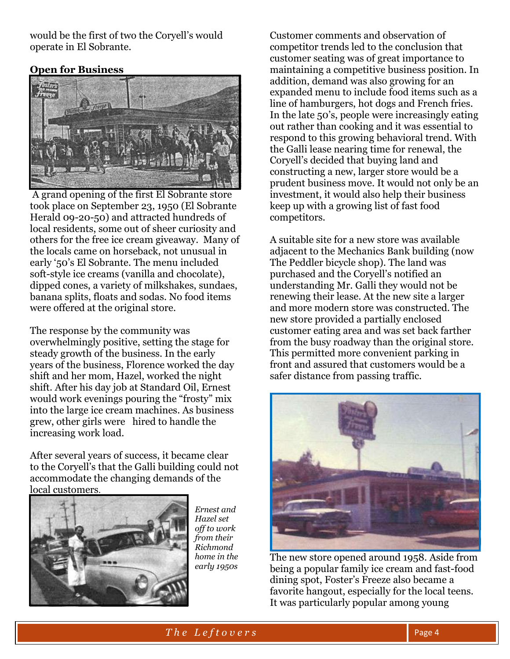would be the first of two the Coryell's would operate in El Sobrante.

#### **Open for Business**



A grand opening of the first El Sobrante store took place on September 23, 1950 (El Sobrante Herald 09-20-50) and attracted hundreds of local residents, some out of sheer curiosity and others for the free ice cream giveaway. Many of the locals came on horseback, not unusual in early '50's El Sobrante. The menu included soft-style ice creams (vanilla and chocolate), dipped cones, a variety of milkshakes, sundaes, banana splits, floats and sodas. No food items were offered at the original store.

The response by the community was overwhelmingly positive, setting the stage for steady growth of the business. In the early years of the business, Florence worked the day shift and her mom, Hazel, worked the night shift. After his day job at Standard Oil, Ernest would work evenings pouring the "frosty" mix into the large ice cream machines. As business grew, other girls were hired to handle the increasing work load.

After several years of success, it became clear to the Coryell's that the Galli building could not accommodate the changing demands of the local customers.



*Ernest and Hazel set off to work from their Richmond home in the early 1950s*

Customer comments and observation of competitor trends led to the conclusion that customer seating was of great importance to maintaining a competitive business position. In addition, demand was also growing for an expanded menu to include food items such as a line of hamburgers, hot dogs and French fries. In the late 50's, people were increasingly eating out rather than cooking and it was essential to respond to this growing behavioral trend. With the Galli lease nearing time for renewal, the Coryell's decided that buying land and constructing a new, larger store would be a prudent business move. It would not only be an investment, it would also help their business keep up with a growing list of fast food competitors.

A suitable site for a new store was available adjacent to the Mechanics Bank building (now The Peddler bicycle shop). The land was purchased and the Coryell's notified an understanding Mr. Galli they would not be renewing their lease. At the new site a larger and more modern store was constructed. The new store provided a partially enclosed customer eating area and was set back farther from the busy roadway than the original store. This permitted more convenient parking in front and assured that customers would be a safer distance from passing traffic.



The new store opened around 1958. Aside from being a popular family ice cream and fast-food dining spot, Foster's Freeze also became a favorite hangout, especially for the local teens. It was particularly popular among young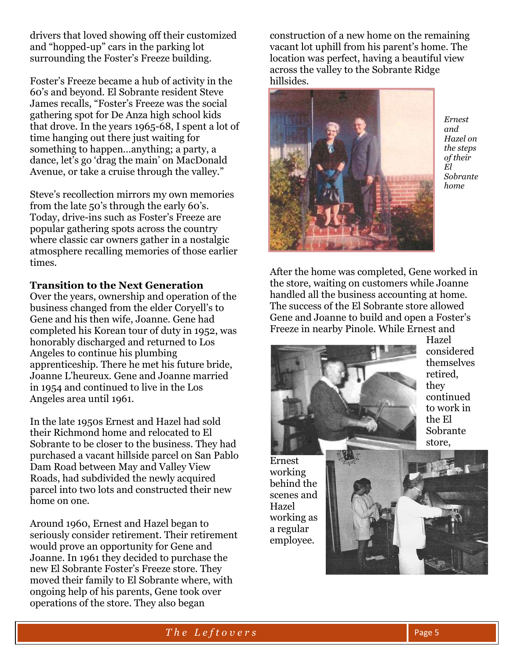drivers that loved showing off their customized and "hopped-up" cars in the parking lot surrounding the Foster's Freeze building.

Foster's Freeze became a hub of activity in the 60's and beyond. El Sobrante resident Steve James recalls, "Foster's Freeze was the social gathering spot for De Anza high school kids that drove. In the years 1965-68, I spent a lot of time hanging out there just waiting for something to happen…anything; a party, a dance, let's go 'drag the main' on MacDonald Avenue, or take a cruise through the valley."

Steve's recollection mirrors my own memories from the late 50's through the early 60's. Today, drive-ins such as Foster's Freeze are popular gathering spots across the country where classic car owners gather in a nostalgic atmosphere recalling memories of those earlier times.

#### **Transition to the Next Generation**

Over the years, ownership and operation of the business changed from the elder Coryell's to Gene and his then wife, Joanne. Gene had completed his Korean tour of duty in 1952, was honorably discharged and returned to Los Angeles to continue his plumbing apprenticeship. There he met his future bride, Joanne L'heureux. Gene and Joanne married in 1954 and continued to live in the Los Angeles area until 1961.

In the late 1950s Ernest and Hazel had sold their Richmond home and relocated to El Sobrante to be closer to the business. They had purchased a vacant hillside parcel on San Pablo Dam Road between May and Valley View Roads, had subdivided the newly acquired parcel into two lots and constructed their new home on one.

Around 1960, Ernest and Hazel began to seriously consider retirement. Their retirement would prove an opportunity for Gene and Joanne. In 1961 they decided to purchase the new El Sobrante Foster's Freeze store. They moved their family to El Sobrante where, with ongoing help of his parents, Gene took over operations of the store. They also began

construction of a new home on the remaining vacant lot uphill from his parent's home. The location was perfect, having a beautiful view across the valley to the Sobrante Ridge hillsides.



*Ernest and Hazel on the steps of their El Sobrante home*

After the home was completed, Gene worked in the store, waiting on customers while Joanne handled all the business accounting at home. The success of the El Sobrante store allowed Gene and Joanne to build and open a Foster's Freeze in nearby Pinole. While Ernest and



Hazel considered themselves retired, they continued to work in the El Sobrante store,

Ernest working behind the scenes and Hazel working as a regular employee.

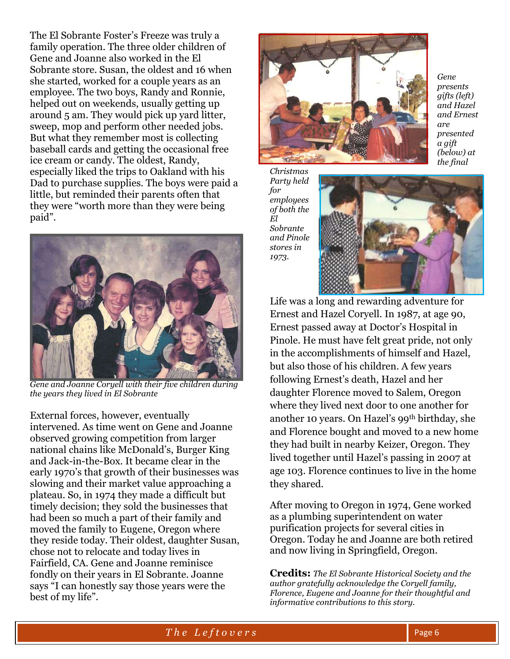The El Sobrante Foster's Freeze was truly a family operation. The three older children of Gene and Joanne also worked in the El Sobrante store. Susan, the oldest and 16 when she started, worked for a couple years as an employee. The two boys, Randy and Ronnie, helped out on weekends, usually getting up around 5 am. They would pick up yard litter, sweep, mop and perform other needed jobs. But what they remember most is collecting baseball cards and getting the occasional free ice cream or candy. The oldest, Randy, especially liked the trips to Oakland with his Dad to purchase supplies. The boys were paid a little, but reminded their parents often that they were "worth more than they were being paid".



*Gene and Joanne Coryell with their five children during the years they lived in El Sobrante*

External forces, however, eventually intervened. As time went on Gene and Joanne observed growing competition from larger national chains like McDonald's, Burger King and Jack-in-the-Box. It became clear in the early 1970's that growth of their businesses was slowing and their market value approaching a plateau. So, in 1974 they made a difficult but timely decision; they sold the businesses that had been so much a part of their family and moved the family to Eugene, Oregon where they reside today. Their oldest, daughter Susan, chose not to relocate and today lives in Fairfield, CA. Gene and Joanne reminisce fondly on their years in El Sobrante. Joanne says "I can honestly say those years were the best of my life".



*Gene presents gifts (left) and Hazel and Ernest are presented a gift (below) at the final* 

*Christmas Party held for employees of both the El Sobrante and Pinole stores in 1973.* 



Life was a long and rewarding adventure for Ernest and Hazel Coryell. In 1987, at age 90, Ernest passed away at Doctor's Hospital in Pinole. He must have felt great pride, not only in the accomplishments of himself and Hazel, but also those of his children. A few years following Ernest's death, Hazel and her daughter Florence moved to Salem, Oregon where they lived next door to one another for another 10 years. On Hazel's 99th birthday, she and Florence bought and moved to a new home they had built in nearby Keizer, Oregon. They lived together until Hazel's passing in 2007 at age 103. Florence continues to live in the home they shared.

After moving to Oregon in 1974, Gene worked as a plumbing superintendent on water purification projects for several cities in Oregon. Today he and Joanne are both retired and now living in Springfield, Oregon.

**Credits:** *The El Sobrante Historical Society and the author gratefully acknowledge the Coryell family, Florence, Eugene and Joanne for their thoughtful and informative contributions to this story.*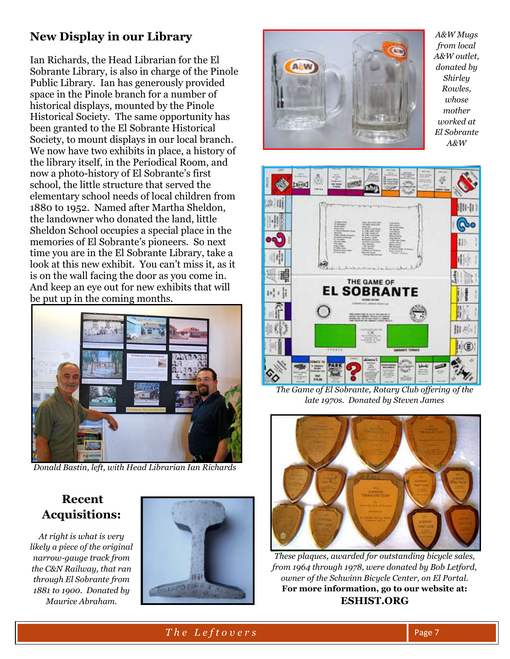## **New Display in our Library**

Ian Richards, the Head Librarian for the El Sobrante Library, is also in charge of the Pinole Public Library. Ian has generously provided space in the Pinole branch for a number of historical displays, mounted by the Pinole Historical Society. The same opportunity has been granted to the El Sobrante Historical Society, to mount displays in our local branch. We now have two exhibits in place, a history of the library itself, in the Periodical Room, and now a photo-history of El Sobrante's first school, the little structure that served the elementary school needs of local children from 1880 to 1952. Named after Martha Sheldon, the landowner who donated the land, little Sheldon School occupies a special place in the memories of El Sobrante's pioneers. So next time you are in the El Sobrante Library, take a look at this new exhibit. You can't miss it, as it is on the wall facing the door as you come in. And keep an eye out for new exhibits that will be put up in the coming months.



*Donald Bastin, left, with Head Librarian Ian Richards*

### **Recent Acquisitions:**

*At right is what is very likely a piece of the original narrow-gauge track from the C&N Railway, that ran through El Sobrante from 1881 to 1900. Donated by Maurice Abraham.* 





*A&W Mugs from local A&W outlet, donated by Shirley Rowles, whose mother worked at El Sobrante A&W*



*The Game of El Sobrante, Rotary Club offering of the late 1970s. Donated by Steven James* 



*These plaques, awarded for outstanding bicycle sales, from 1964 through 1978, were donated by Bob Letford, owner of the Schwinn Bicycle Center, on El Portal.* **For more information, go to our website at: ESHIST.ORG**